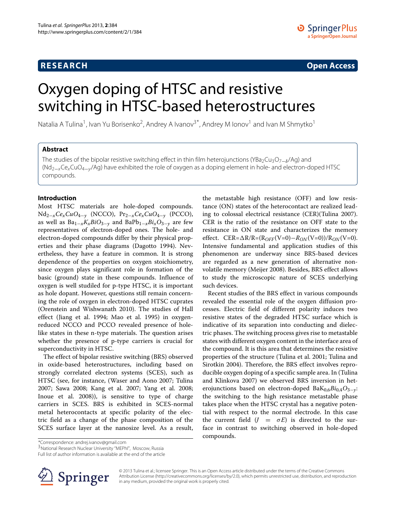**RESEARCH Open Access**

# Oxygen doping of HTSC and resistive switching in HTSC-based heterostructures

Natalia A Tulina<sup>1</sup>, Ivan Yu Borisenko<sup>2</sup>, Andrey A Ivanov<sup>3\*</sup>, Andrey M Ionov<sup>1</sup> and Ivan M Shmytko<sup>1</sup>

# **Abstract**

The studies of the bipolar resistive switching effect in thin film heterojunctions (YBa<sub>2</sub>Cu<sub>3</sub>O<sub>7−</sub><sup>*δ*</sup>Ag) and (Nd2−xCexCuO4−y/Ag) have exhibited the role of oxygen as a doping element in hole- and electron-doped HTSC compounds.

# **Introduction**

Most HTSC materials are hole-doped compounds. Nd2−*xCexCuO*<sup>4</sup>−*<sup>y</sup>* (NCCO), Pr2−*xCexCuO*<sup>4</sup>−*<sup>y</sup>* (PCCO), as well as Ba1−*xKxBiO*<sup>3</sup>−*<sup>y</sup>* and BaPb1−*xBixO*<sup>3</sup>−*<sup>y</sup>* are few representatives of electron-doped ones. The hole- and electron-doped compounds differ by their physical properties and their phase diagrams (Dagotto [1994\)](#page-2-0). Nevertheless, they have a feature in common. It is strong dependence of the properties on oxygen stoichiometry, since oxygen plays significant role in formation of the basic (ground) state in these compounds. Influence of oxygen is well studiled for p-type HTSC, it is important as hole dopant. However, questions still remain concerning the role of oxygen in electron-doped HTSC cuprates (Orenstein and Wishwanath [2010\)](#page-3-0). The studies of Hall effect (Jiang et al. [1994;](#page-2-1) Mao et al. [1995\)](#page-2-2) in oxygenreduced NCCO and PCCO revealed presence of holelike states in these n-type materials. The question arises whether the presence of p-type carriers is crucial for superconductivity in HTSC.

The effect of bipolar resistive switching (BRS) observed in oxide-based heterostructures, including based on strongly correlated electron systems (SCES), such as HTSC (see, for instance, (Waser and Aono [2007;](#page-3-1) Tulina [2007;](#page-3-2) Sawa [2008;](#page-3-3) Kang et al. [2007;](#page-2-3) Yang et al. [2008;](#page-3-4) Inoue et al. [2008\)](#page-2-4)), is sensitive to type of charge carriers in SCES. BRS is exhibited in SCES-normal metal heterocontacts at specific polarity of the electric field as a change of the phase composition of the SCES surface layer at the nanosize level. As a result,

the metastable high resistance (OFF) and low resistance (ON) states of the heterocontact are realized leading to colossal electrical resistance (CER)(Tulina [2007\)](#page-3-2). CER is the ratio of the resistance on OFF state to the resistance in ON state and characterizes the memory effect. CER= $\Delta R/R = (R_{OFF}(V=0) - R_{ON}(V=0))/R_{ON}(V=0)$ . Intensive fundamental and application studies of this phenomenon are underway since BRS-based devices are regarded as a new generation of alternative nonvolatile memory (Meijer [2008\)](#page-3-5). Besides, BRS effect allows to study the microscopic nature of SCES underlying such devices.

Recent studies of the BRS effect in various compounds revealed the essential role of the oxygen diffusion processes. Electric field of different polarity induces two resistive states of the degraded HTSC surface which is indicative of its separation into conducting and dielectric phases. The switching process gives rise to metastable states with different oxygen content in the interface area of the compound. It is this area that determines the resistive properties of the structure (Tulina et al. [2001;](#page-3-6) Tulina and Sirotkin [2004\)](#page-3-7). Therefore, the BRS effect involves reproducible oxygen doping of a specific sample area. In (Tulina and Klinkova [2007\)](#page-3-8) we observed BRS inversion in heterojunctions based on electron-doped BaK0,6*Bi*0,4*O*3−*y*: the switching to the high resistance metastable phase takes place when the HTSC crystal has a negative potential with respect to the normal electrode. In this case the current field  $(J = \sigma E)$  is directed to the surface in contrast to switching observed in hole-doped compounds.

\*Correspondence: andrej.ivanov@gmail.com

3National Research Nuclear University "MEPhI", Moscow, Russia

Full list of author information is available at the end of the article



© 2013 Tulina et al.; licensee Springer. This is an Open Access article distributed under the terms of the Creative Commons Attribution License (http://creativecommons.org/licenses/by/2.0), which permits unrestricted use, distribution, and reproduction in any medium, provided the original work is properly cited.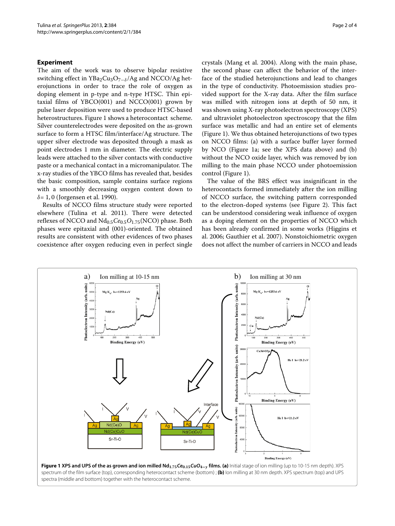## **Experiment**

The aim of the work was to observe bipolar resistive switching effect in YBa<sub>2</sub>Cu<sub>3</sub>O<sub>7−δ</sub>/Ag and NCCO/Ag heterojunctions in order to trace the role of oxygen as doping element in p-type and n-type HTSC. Thin epitaxial films of  $YBCO(001)$  and  $NCCO(001)$  grown by pulse laser deposition were used to produce HTSC-based heterostructures. Figure [1](#page-1-0) shows a heterocontact scheme. Silver counterelectrodes were deposited on the as-grown surface to form a HTSC film/interface/Ag structure. The upper silver electrode was deposited through a mask as point electrodes 1 mm in diameter. The electric supply leads were attached to the silver contacts with conductive paste or a mechanical contact in a micromanipulator. The x-ray studies of the YBCO films has revealed that, besides the basic composition, sample contains surface regions with a smoothly decreasing oxygen content down to *δ*= 1, 0 (Jorgensen et al. [1990\)](#page-2-5).

Results of NCCO films structure study were reported elsewhere (Tulina et al. [2011\)](#page-3-9). There were detected reflexes of NCCO and Nd0.5*Ce*0.5*O*1.75(NCO) phase. Both phases were epitaxial and (001)-oriented. The obtained results are consistent with other evidences of two phases coexistence after oxygen reducing even in perfect single crystals (Mang et al. [2004\)](#page-3-10). Along with the main phase, the second phase can affect the behavior of the interface of the studied heterojunctions and lead to changes in the type of conductivity. Photoemission studies provided support for the X-ray data. After the film surface was milled with nitrogen ions at depth of 50 nm, it was shown using X-ray photoelectron spectroscopy (XPS) and ultraviolet photoelectron spectroscopy that the film surface was metallic and had an entire set of elements (Figure [1\)](#page-1-0). We thus obtained heterojunctions of two types on NCCO films: (a) with a surface buffer layer formed by NCO (Figure [1a](#page-1-0); see the XPS data above) and (b) without the NCO oxide layer, which was removed by ion milling to the main phase NCCO under photoemission control (Figure [1\)](#page-1-0).

The value of the BRS effect was insignificant in the heterocontacts formed immediately after the ion milling of NCCO surface, the switching pattern corresponded to the electron-doped systems (see Figure [2\)](#page-2-6). This fact can be understood considering weak influence of oxygen as a doping element on the properties of NCCO which has been already confirmed in some works (Higgins et al. [2006;](#page-2-7) Gauthier et al. [2007\)](#page-2-8). Nonstoichiometric oxygen does not affect the number of carriers in NCCO and leads

<span id="page-1-0"></span>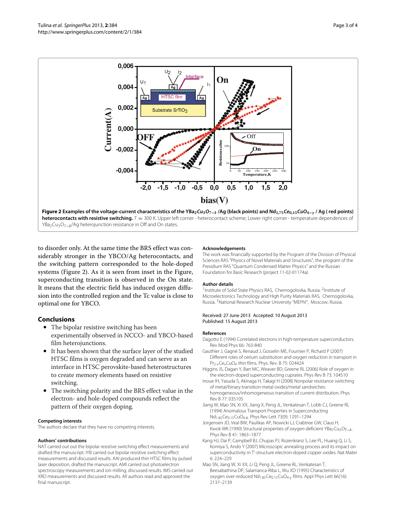

<span id="page-2-6"></span>to disorder only. At the same time the BRS effect was considerably stronger in the YBCO/Ag heterocontacts, and the switching pattern corresponded to the hole-doped systems (Figure [2\)](#page-2-6). As it is seen from inset in the Figure, superconducting transition is observed in the On state. It means that the electric field has induced oxygen diffusion into the controlled region and the Tc value is close to optimal one for YBCO.

# **Conclusions**

- The bipolar resistive switching has been experimentally observed in NCCO- and YBCO-based film heterojunctions.
- It has been shown that the surface layer of the studied HTSC films is oxygen degraded and can serve as an interface in HTSC perovskite-based heterostructures to create memory elements based on resistive switching.
- The switching polarity and the BRS effect value in the electron- and hole-doped compounds reflect the pattern of their oxygen doping.

### **Competing interests**

The authors declare that they have no competing interests.

#### **Authors' contributions**

NAT carried out out the bipolar resistive switching effect measurements and drafted the manuscript. IYB carried out bipolar resistive switching effect measurements and discussed results. AAI produced thin HTSC films by pulsed laser deposition, drafted the manuscript. AMI carried out photoelectron spectroscopy measurements and ion milling, discussed results. IMS carried out XRD measurements and discussed results. All authors read and approved the final manuscript.

#### **Acknowledgements**

The work was financially supported by the Program of the Division of Physical Sciences RAS "Physics of Novel Materials and Structures", the program of the Presidium RAS "Quantum Condensed Matter Physics" and the Russian Foundation for Basic Research (project 11-02-01174a).

#### **Author details**

<sup>1</sup> Institute of Solid State Physics RAS, Chernogolovka, Russia. <sup>2</sup> Institute of Microelectronics Technology and High Purity Materials RAS, Chernogolovka, Russia. 3National Research Nuclear University "MEPhI", Moscow, Russia.

#### Received: 27 June 2013 Accepted: 10 August 2013 Published: 15 August 2013

#### **References**

- <span id="page-2-0"></span>Dagotto E (1994) Correlated electrons in high-temperature superconductors. Rev Mod Phys 66: 763-840
- <span id="page-2-8"></span>Gauthier J, Gagné S, Renaud J, Gosselin ME, Fournier P, Richard P (2007) Different roles of cerium substitution and oxygen reduction in transport in Pr<sub>2-x</sub>Ce<sub>x</sub>CuO<sub>4</sub> thin films. Phys. Rev. B 75: 024424
- <span id="page-2-7"></span>Higgins JS, Dagan Y, Barr MC, Weaver BD, Greene RL (2006) Role of oxygen in the electron-doped superconducting cuprates. Phys Rev B 73: 104510
- <span id="page-2-4"></span>Inoue IH, Yasuda S, Akinaga H, Takagi H (2008) Nonpolar resistance switching of metal/binary-transition-metal oxides/metal sandwiches: homogeneous/inhomogeneous transition of current distribution. Phys
- Rev B 77: 035105 Jiang W, Mao SN, Xi XX, Jiang X, Peng JL, Venkatesan T, Lobb CJ, Greene RL
- <span id="page-2-1"></span>(1994) Anomalous Transport Properties in Superconducting Nd1.85Ce0.15CuO4-*<sup>δ</sup>* . Phys Rev Lett 73(9): 1291–1294
- <span id="page-2-5"></span>Jorgensen JD, Veal BW, Paulikas AP, Nowicki LJ, Crabtree GW, Claus H, Kwok WK (1990) Structural properties of oxygen-deficient YBa<sub>2</sub>Cu<sub>3</sub>O<sub>7−</sub><sup>8</sup>. Phys Rev B 41: 1863–1877
- <span id="page-2-3"></span>Kang HJ, Dai P, Campbell BJ, Chupas PJ, Rozenkranz S, Lee PL, Huang Q, Li S, Komiya S, Ando Y (2007) Microscopic annealing process and its impact on superconductivity in T'-structure electron-doped copper oxides. Nat Mater 6: 224–229
- <span id="page-2-2"></span>Mao SN, Jiang W, Xi XX, Li Q, Peng JL, Greene RL, Venkatesan T, Beesabathina DP, Salamanca-Riba L, Wu XD (1995) Characteristics of oxygen over-reduced Nd<sub>1.85</sub>Ce<sub>0.15</sub>CuO<sub>4-y</sub> films. Appl Phys Lett 66(16): 2137–2139